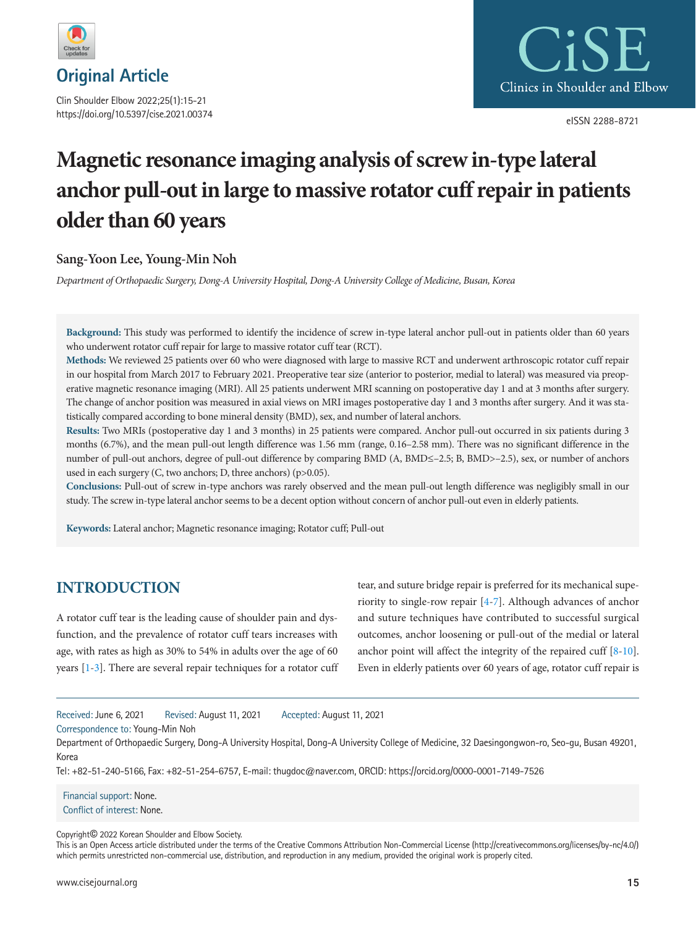

Clin Shoulder Elbow 2022;25(1):15-21 https://doi.org/10.5397/cise.2021.00374



eISSN 2288-8721

# **Magnetic resonance imaging analysis of screw in-type lateral anchor pull-out in large to massive rotator cuff repair in patients older than 60 years**

## **Sang-Yoon Lee, Young-Min Noh**

*Department of Orthopaedic Surgery, Dong-A University Hospital, Dong-A University College of Medicine, Busan, Korea* 

**Background:** This study was performed to identify the incidence of screw in-type lateral anchor pull-out in patients older than 60 years who underwent rotator cuff repair for large to massive rotator cuff tear (RCT).

**Methods:** We reviewed 25 patients over 60 who were diagnosed with large to massive RCT and underwent arthroscopic rotator cuff repair in our hospital from March 2017 to February 2021. Preoperative tear size (anterior to posterior, medial to lateral) was measured via preoperative magnetic resonance imaging (MRI). All 25 patients underwent MRI scanning on postoperative day 1 and at 3 months after surgery. The change of anchor position was measured in axial views on MRI images postoperative day 1 and 3 months after surgery. And it was statistically compared according to bone mineral density (BMD), sex, and number of lateral anchors.

**Results:** Two MRIs (postoperative day 1 and 3 months) in 25 patients were compared. Anchor pull-out occurred in six patients during 3 months (6.7%), and the mean pull-out length difference was 1.56 mm (range, 0.16–2.58 mm). There was no significant difference in the number of pull-out anchors, degree of pull-out difference by comparing BMD (A, BMD≤–2.5; B, BMD>–2.5), sex, or number of anchors used in each surgery (C, two anchors; D, three anchors) (p>0.05).

**Conclusions:** Pull-out of screw in-type anchors was rarely observed and the mean pull-out length difference was negligibly small in our study. The screw in-type lateral anchor seems to be a decent option without concern of anchor pull-out even in elderly patients.

**Keywords:** Lateral anchor; Magnetic resonance imaging; Rotator cuff; Pull-out

## **INTRODUCTION**

A rotator cuff tear is the leading cause of shoulder pain and dysfunction, and the prevalence of rotator cuff tears increases with age, with rates as high as 30% to 54% in adults over the age of 60 years [\[1](#page-5-0)-[3](#page-5-1)]. There are several repair techniques for a rotator cuff tear, and suture bridge repair is preferred for its mechanical superiority to single-row repair [\[4](#page-5-2)[-7\]](#page-5-3). Although advances of anchor and suture techniques have contributed to successful surgical outcomes, anchor loosening or pull-out of the medial or lateral anchor point will affect the integrity of the repaired cuff [\[8](#page-5-4)[-10\]](#page-5-5). Even in elderly patients over 60 years of age, rotator cuff repair is

Received: June 6, 2021 Revised: August 11, 2021 Accepted: August 11, 2021

Correspondence to: Young-Min Noh

Department of Orthopaedic Surgery, Dong-A University Hospital, Dong-A University College of Medicine, 32 Daesingongwon-ro, Seo-gu, Busan 49201, Korea

Tel: +82-51-240-5166, Fax: +82-51-254-6757, E-mail: thugdoc@naver.com, ORCID: <https://orcid.org/0000-0001-7149-7526>

Financial support: None. Conflict of interest: None.

Copyright© 2022 Korean Shoulder and Elbow Society.

This is an Open Access article distributed under the terms of the Creative Commons Attribution Non-Commercial License (http://creativecommons.org/licenses/by-nc/4.0/) which permits unrestricted non-commercial use, distribution, and reproduction in any medium, provided the original work is properly cited.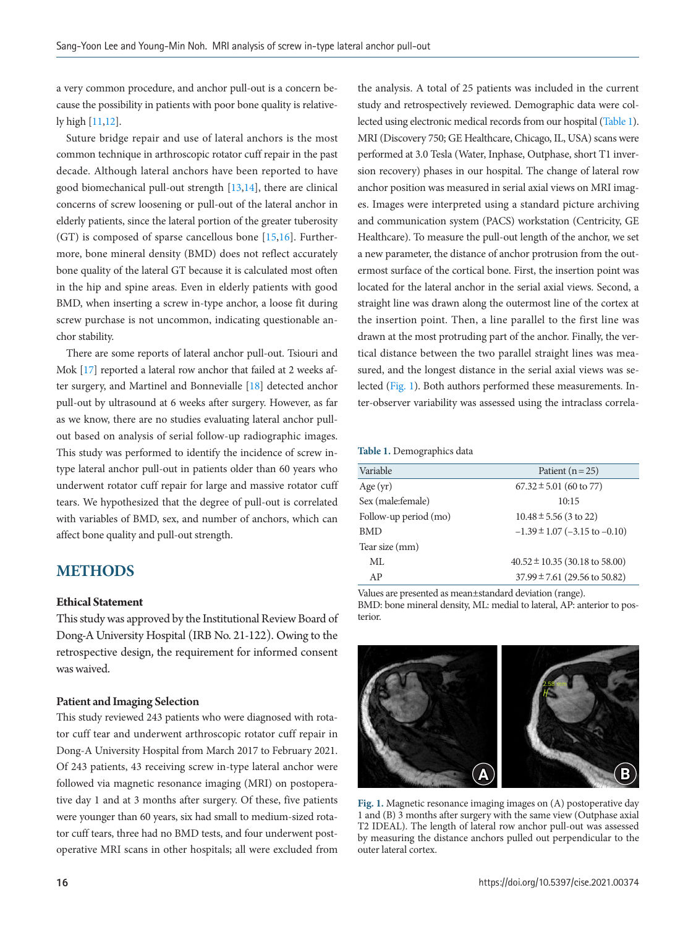a very common procedure, and anchor pull-out is a concern because the possibility in patients with poor bone quality is relatively high [\[11](#page-5-6)[,12\]](#page-5-4).

Suture bridge repair and use of lateral anchors is the most common technique in arthroscopic rotator cuff repair in the past decade. Although lateral anchors have been reported to have good biomechanical pull-out strength [\[13,](#page-5-5)[14\]](#page-5-7), there are clinical concerns of screw loosening or pull-out of the lateral anchor in elderly patients, since the lateral portion of the greater tuberosity (GT) is composed of sparse cancellous bone [\[15](#page-5-8)[,16](#page-5-9)]. Furthermore, bone mineral density (BMD) does not reflect accurately bone quality of the lateral GT because it is calculated most often in the hip and spine areas. Even in elderly patients with good BMD, when inserting a screw in-type anchor, a loose fit during screw purchase is not uncommon, indicating questionable anchor stability.

There are some reports of lateral anchor pull-out. Tsiouri and Mok [\[17](#page-5-10)] reported a lateral row anchor that failed at 2 weeks after surgery, and Martinel and Bonnevialle [\[18](#page-5-7)] detected anchor pull-out by ultrasound at 6 weeks after surgery. However, as far as we know, there are no studies evaluating lateral anchor pullout based on analysis of serial follow-up radiographic images. This study was performed to identify the incidence of screw intype lateral anchor pull-out in patients older than 60 years who underwent rotator cuff repair for large and massive rotator cuff tears. We hypothesized that the degree of pull-out is correlated with variables of BMD, sex, and number of anchors, which can affect bone quality and pull-out strength.

## **METHODS**

#### **Ethical Statement**

This study was approved by the Institutional Review Board of Dong-A University Hospital (IRB No. 21-122). Owing to the retrospective design, the requirement for informed consent was waived.

#### Patient and Imaging Selection

This study reviewed 243 patients who were diagnosed with rotator cuff tear and underwent arthroscopic rotator cuff repair in Dong-A University Hospital from March 2017 to February 2021. Of 243 patients, 43 receiving screw in-type lateral anchor were followed via magnetic resonance imaging (MRI) on postoperative day 1 and at 3 months after surgery. Of these, five patients were younger than 60 years, six had small to medium-sized rotator cuff tears, three had no BMD tests, and four underwent postoperative MRI scans in other hospitals; all were excluded from the analysis. A total of 25 patients was included in the current study and retrospectively reviewed. Demographic data were collected using electronic medical records from our hospital [\(Table 1\)](#page-1-0). MRI (Discovery 750; GE Healthcare, Chicago, IL, USA) scans were performed at 3.0 Tesla (Water, Inphase, Outphase, short T1 inversion recovery) phases in our hospital. The change of lateral row anchor position was measured in serial axial views on MRI images. Images were interpreted using a standard picture archiving and communication system (PACS) workstation (Centricity, GE Healthcare). To measure the pull-out length of the anchor, we set a new parameter, the distance of anchor protrusion from the outermost surface of the cortical bone. First, the insertion point was located for the lateral anchor in the serial axial views. Second, a straight line was drawn along the outermost line of the cortex at the insertion point. Then, a line parallel to the first line was drawn at the most protruding part of the anchor. Finally, the vertical distance between the two parallel straight lines was measured, and the longest distance in the serial axial views was selected [\(Fig. 1\)](#page-1-1). Both authors performed these measurements. Inter-observer variability was assessed using the intraclass correla-

#### <span id="page-1-0"></span>**Table 1.** Demographics data

| Variable              | Patient $(n=25)$                   |  |  |
|-----------------------|------------------------------------|--|--|
| Age $(yr)$            | $67.32 \pm 5.01$ (60 to 77)        |  |  |
| Sex (male:female)     | 10:15                              |  |  |
| Follow-up period (mo) | $10.48 \pm 5.56$ (3 to 22)         |  |  |
| <b>BMD</b>            | $-1.39 \pm 1.07$ (-3.15 to -0.10)  |  |  |
| Tear size (mm)        |                                    |  |  |
| ML                    | $40.52 \pm 10.35$ (30.18 to 58.00) |  |  |
| AP                    | $37.99 \pm 7.61$ (29.56 to 50.82)  |  |  |
|                       |                                    |  |  |

Values are presented as mean±standard deviation (range). BMD: bone mineral density, ML: medial to lateral, AP: anterior to posterior.

<span id="page-1-1"></span>

**Fig. 1.** Magnetic resonance imaging images on (A) postoperative day 1 and (B) 3 months after surgery with the same view (Outphase axial T2 IDEAL). The length of lateral row anchor pull-out was assessed by measuring the distance anchors pulled out perpendicular to the outer lateral cortex.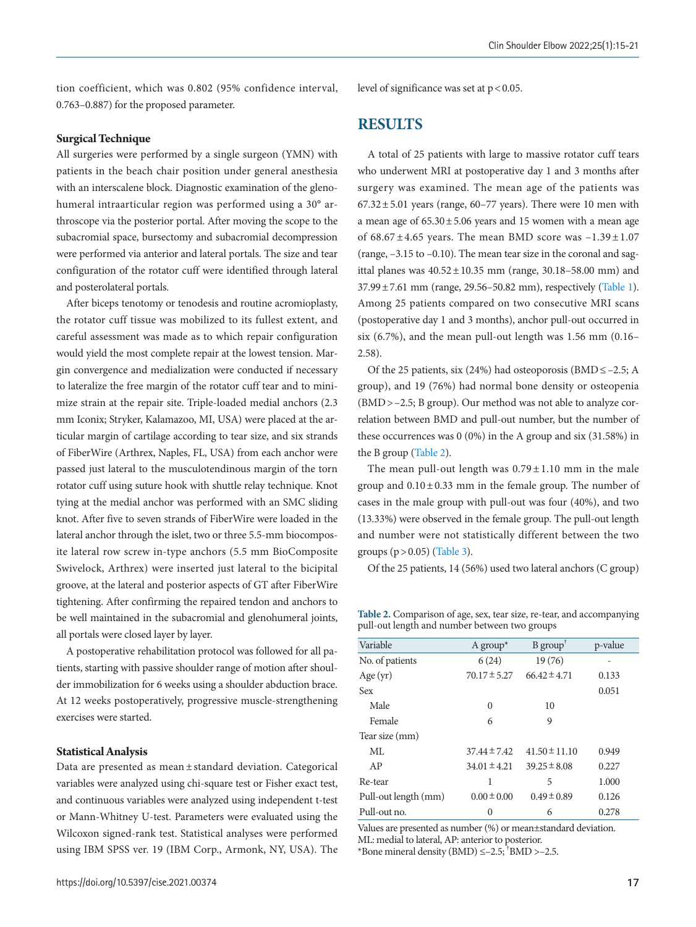tion coefficient, which was 0.802 (95% confidence interval, 0.763–0.887) for the proposed parameter.

#### **Surgical Technique**

All surgeries were performed by a single surgeon (YMN) with patients in the beach chair position under general anesthesia with an interscalene block. Diagnostic examination of the glenohumeral intraarticular region was performed using a 30° arthroscope via the posterior portal. After moving the scope to the subacromial space, bursectomy and subacromial decompression were performed via anterior and lateral portals. The size and tear configuration of the rotator cuff were identified through lateral and posterolateral portals.

After biceps tenotomy or tenodesis and routine acromioplasty, the rotator cuff tissue was mobilized to its fullest extent, and careful assessment was made as to which repair configuration would yield the most complete repair at the lowest tension. Margin convergence and medialization were conducted if necessary to lateralize the free margin of the rotator cuff tear and to minimize strain at the repair site. Triple-loaded medial anchors (2.3 mm Iconix; Stryker, Kalamazoo, MI, USA) were placed at the articular margin of cartilage according to tear size, and six strands of FiberWire (Arthrex, Naples, FL, USA) from each anchor were passed just lateral to the musculotendinous margin of the torn rotator cuff using suture hook with shuttle relay technique. Knot tying at the medial anchor was performed with an SMC sliding knot. After five to seven strands of FiberWire were loaded in the lateral anchor through the islet, two or three 5.5-mm biocomposite lateral row screw in-type anchors (5.5 mm BioComposite Swivelock, Arthrex) were inserted just lateral to the bicipital groove, at the lateral and posterior aspects of GT after FiberWire tightening. After confirming the repaired tendon and anchors to be well maintained in the subacromial and glenohumeral joints, all portals were closed layer by layer.

A postoperative rehabilitation protocol was followed for all patients, starting with passive shoulder range of motion after shoulder immobilization for 6 weeks using a shoulder abduction brace. At 12 weeks postoperatively, progressive muscle-strengthening exercises were started.

#### **Statistical Analysis**

Data are presented as mean ± standard deviation. Categorical variables were analyzed using chi-square test or Fisher exact test, and continuous variables were analyzed using independent t-test or Mann-Whitney U-test. Parameters were evaluated using the Wilcoxon signed-rank test. Statistical analyses were performed using IBM SPSS ver. 19 (IBM Corp., Armonk, NY, USA). The

level of significance was set at p < 0.05.

## **RESULTS**

A total of 25 patients with large to massive rotator cuff tears who underwent MRI at postoperative day 1 and 3 months after surgery was examined. The mean age of the patients was  $67.32 \pm 5.01$  years (range,  $60-77$  years). There were 10 men with a mean age of  $65.30 \pm 5.06$  years and 15 women with a mean age of  $68.67 \pm 4.65$  years. The mean BMD score was  $-1.39 \pm 1.07$ (range, –3.15 to –0.10). The mean tear size in the coronal and sagittal planes was  $40.52 \pm 10.35$  mm (range, 30.18–58.00 mm) and  $37.99 \pm 7.61$  mm (range, 29.56–50.82 mm), respectively (Table 1). Among 25 patients compared on two consecutive MRI scans (postoperative day 1 and 3 months), anchor pull-out occurred in six (6.7%), and the mean pull-out length was 1.56 mm (0.16– 2.58).

Of the 25 patients, six (24%) had osteoporosis (BMD  $\leq -2.5$ ; A group), and 19 (76%) had normal bone density or osteopenia (BMD > –2.5; B group). Our method was not able to analyze correlation between BMD and pull-out number, but the number of these occurrences was 0 (0%) in the A group and six (31.58%) in the B group [\(Table 2](#page-2-0)).

The mean pull-out length was  $0.79 \pm 1.10$  mm in the male group and  $0.10 \pm 0.33$  mm in the female group. The number of cases in the male group with pull-out was four (40%), and two (13.33%) were observed in the female group. The pull-out length and number were not statistically different between the two groups  $(p > 0.05)$  [\(Table 3\)](#page-3-0).

Of the 25 patients, 14 (56%) used two lateral anchors (C group)

<span id="page-2-0"></span>**Table 2.** Comparison of age, sex, tear size, re-tear, and accompanying pull-out length and number between two groups

| Variable             | A group <sup>*</sup> | $B$ group <sup><math>\bar{ }</math></sup> | p-value |
|----------------------|----------------------|-------------------------------------------|---------|
| No. of patients      | 6(24)                | 19(76)                                    |         |
| Age $(yr)$           | $70.17 \pm 5.27$     | $66.42 \pm 4.71$                          | 0.133   |
| <b>Sex</b>           |                      |                                           | 0.051   |
| Male                 | $\Omega$             | 10                                        |         |
| Female               | 6                    | 9                                         |         |
| Tear size (mm)       |                      |                                           |         |
| ML                   | $37.44 \pm 7.42$     | $41.50 \pm 11.10$                         | 0.949   |
| AP                   | $34.01 \pm 4.21$     | $39.25 \pm 8.08$                          | 0.227   |
| Re-tear              | 1                    | 5                                         | 1.000   |
| Pull-out length (mm) | $0.00 \pm 0.00$      | $0.49 \pm 0.89$                           | 0.126   |
| Pull-out no.         | 0                    | 6                                         | 0.278   |

Values are presented as number (%) or mean±standard deviation. ML: medial to lateral, AP: anterior to posterior. \*Bone mineral density  $(BMD) \le -2.5$ ; <sup>†</sup>BMD > -2.5.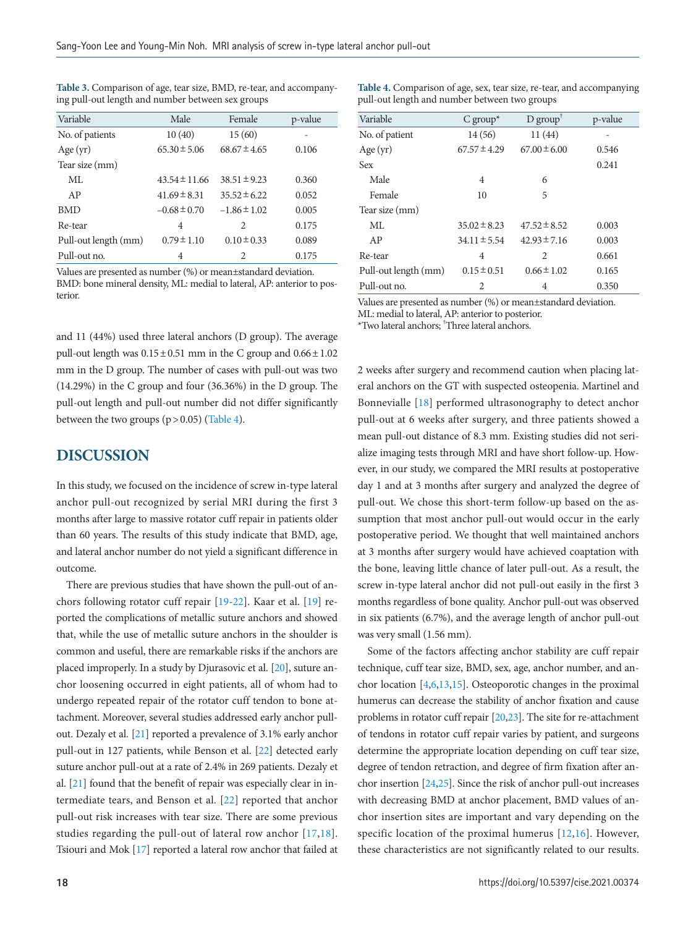<span id="page-3-0"></span>

| Table 3. Comparison of age, tear size, BMD, re-tear, and accompany- |  |  |
|---------------------------------------------------------------------|--|--|
| ing pull-out length and number between sex groups                   |  |  |

| Variable             | Male              | Female           | p-value |  |
|----------------------|-------------------|------------------|---------|--|
| No. of patients      | 10(40)            | 15(60)           |         |  |
| Age $(yr)$           | $65.30 \pm 5.06$  | $68.67 \pm 4.65$ | 0.106   |  |
| Tear size (mm)       |                   |                  |         |  |
| ML                   | $43.54 \pm 11.66$ | $38.51 \pm 9.23$ | 0.360   |  |
| AP                   | $41.69 \pm 8.31$  | $35.52 \pm 6.22$ | 0.052   |  |
| <b>BMD</b>           | $-0.68 \pm 0.70$  | $-1.86 \pm 1.02$ | 0.005   |  |
| Re-tear              | $\overline{4}$    | $\mathcal{D}$    | 0.175   |  |
| Pull-out length (mm) | $0.79 \pm 1.10$   | $0.10 \pm 0.33$  | 0.089   |  |
| Pull-out no.         | 4                 | 2                | 0.175   |  |

Values are presented as number (%) or mean±standard deviation.

BMD: bone mineral density, ML: medial to lateral, AP: anterior to posterior.

and 11 (44%) used three lateral anchors (D group). The average pull-out length was  $0.15 \pm 0.51$  mm in the C group and  $0.66 \pm 1.02$ mm in the D group. The number of cases with pull-out was two (14.29%) in the C group and four (36.36%) in the D group. The pull-out length and pull-out number did not differ significantly between the two groups  $(p > 0.05)$  [\(Table 4](#page-3-1)).

## **DISCUSSION**

In this study, we focused on the incidence of screw in-type lateral anchor pull-out recognized by serial MRI during the first 3 months after large to massive rotator cuff repair in patients older than 60 years. The results of this study indicate that BMD, age, and lateral anchor number do not yield a significant difference in outcome.

There are previous studies that have shown the pull-out of anchors following rotator cuff repair [\[19](#page-5-13)[-22\]](#page-6-3). Kaar et al. [\[19](#page-5-13)] reported the complications of metallic suture anchors and showed that, while the use of metallic suture anchors in the shoulder is common and useful, there are remarkable risks if the anchors are placed improperly. In a study by Djurasovic et al. [\[20\]](#page-5-12), suture anchor loosening occurred in eight patients, all of whom had to undergo repeated repair of the rotator cuff tendon to bone attachment. Moreover, several studies addressed early anchor pullout. Dezaly et al. [\[21\]](#page-5-14) reported a prevalence of 3.1% early anchor pull-out in 127 patients, while Benson et al. [\[22](#page-6-3)] detected early suture anchor pull-out at a rate of 2.4% in 269 patients. Dezaly et al. [\[21](#page-5-14)] found that the benefit of repair was especially clear in intermediate tears, and Benson et al. [\[22\]](#page-6-3) reported that anchor pull-out risk increases with tear size. There are some previous studies regarding the pull-out of lateral row anchor [17,18]. Tsiouri and Mok [17] reported a lateral row anchor that failed at <span id="page-3-1"></span>**Table 4.** Comparison of age, sex, tear size, re-tear, and accompanying pull-out length and number between two groups

| Variable             | $C$ group <sup>*</sup> | $D$ group <sup>†</sup> | p-value |
|----------------------|------------------------|------------------------|---------|
| No. of patient       | 14(56)                 | 11(44)                 |         |
| Age $(yr)$           | $67.57 \pm 4.29$       | $67.00 \pm 6.00$       | 0.546   |
| Sex                  |                        |                        | 0.241   |
| Male                 | 4                      | 6                      |         |
| Female               | 10                     | 5                      |         |
| Tear size (mm)       |                        |                        |         |
| ML                   | $35.02 \pm 8.23$       | $47.52 \pm 8.52$       | 0.003   |
| AP                   | $34.11 \pm 5.54$       | $42.93 \pm 7.16$       | 0.003   |
| Re-tear              | 4                      | 2                      | 0.661   |
| Pull-out length (mm) | $0.15 \pm 0.51$        | $0.66 \pm 1.02$        | 0.165   |
| Pull-out no.         | 2                      | 4                      | 0.350   |
|                      |                        |                        |         |

Values are presented as number (%) or mean±standard deviation.

ML: medial to lateral, AP: anterior to posterior.

\*Two lateral anchors; † Three lateral anchors.

2 weeks after surgery and recommend caution when placing lateral anchors on the GT with suspected osteopenia. Martinel and Bonnevialle [18] performed ultrasonography to detect anchor pull-out at 6 weeks after surgery, and three patients showed a mean pull-out distance of 8.3 mm. Existing studies did not serialize imaging tests through MRI and have short follow-up. However, in our study, we compared the MRI results at postoperative day 1 and at 3 months after surgery and analyzed the degree of pull-out. We chose this short-term follow-up based on the assumption that most anchor pull-out would occur in the early postoperative period. We thought that well maintained anchors at 3 months after surgery would have achieved coaptation with the bone, leaving little chance of later pull-out. As a result, the screw in-type lateral anchor did not pull-out easily in the first 3 months regardless of bone quality. Anchor pull-out was observed in six patients (6.7%), and the average length of anchor pull-out was very small (1.56 mm).

Some of the factors affecting anchor stability are cuff repair technique, cuff tear size, BMD, sex, age, anchor number, and anchor location [4[,6](#page-5-11),13,15]. Osteoporotic changes in the proximal humerus can decrease the stability of anchor fixation and cause problems in rotator cuff repair [\[20,](#page-5-12)[23\]](#page-6-0). The site for re-attachment of tendons in rotator cuff repair varies by patient, and surgeons determine the appropriate location depending on cuff tear size, degree of tendon retraction, and degree of firm fixation after anchor insertion [\[24](#page-6-1)[,25](#page-6-2)]. Since the risk of anchor pull-out increases with decreasing BMD at anchor placement, BMD values of anchor insertion sites are important and vary depending on the specific location of the proximal humerus [12,16]. However, these characteristics are not significantly related to our results.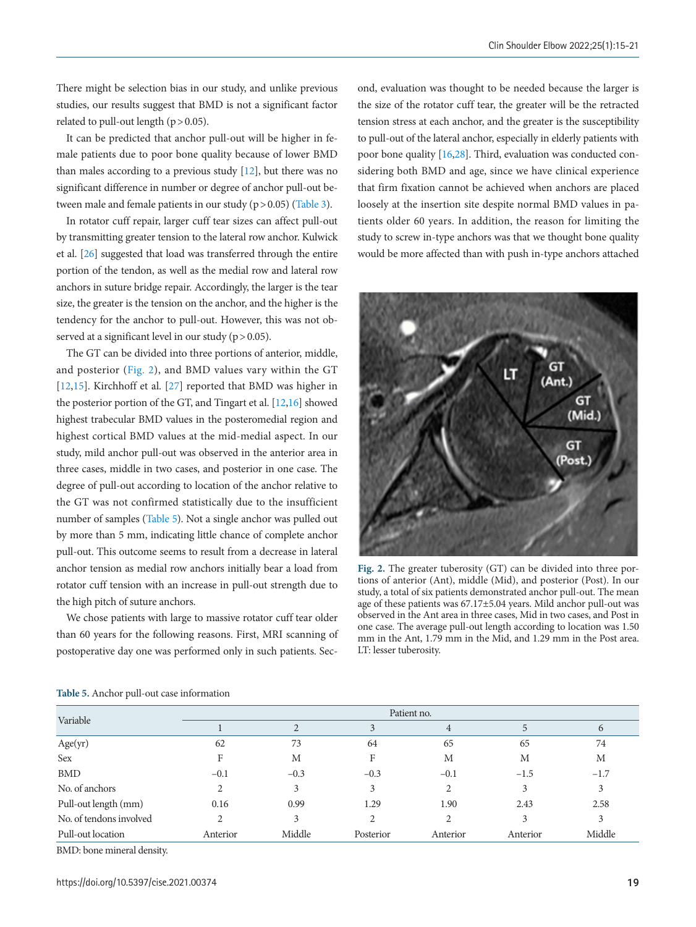There might be selection bias in our study, and unlike previous studies, our results suggest that BMD is not a significant factor related to pull-out length  $(p > 0.05)$ .

It can be predicted that anchor pull-out will be higher in female patients due to poor bone quality because of lower BMD than males according to a previous study [12], but there was no significant difference in number or degree of anchor pull-out between male and female patients in our study  $(p > 0.05)$  (Table 3).

In rotator cuff repair, larger cuff tear sizes can affect pull-out by transmitting greater tension to the lateral row anchor. Kulwick et al. [\[26\]](#page-6-4) suggested that load was transferred through the entire portion of the tendon, as well as the medial row and lateral row anchors in suture bridge repair. Accordingly, the larger is the tear size, the greater is the tension on the anchor, and the higher is the tendency for the anchor to pull-out. However, this was not observed at a significant level in our study ( $p > 0.05$ ).

The GT can be divided into three portions of anterior, middle, and posterior [\(Fig. 2\)](#page-4-0), and BMD values vary within the GT [12,15]. Kirchhoff et al. [\[27\]](#page-6-5) reported that BMD was higher in the posterior portion of the GT, and Tingart et al. [12,16] showed highest trabecular BMD values in the posteromedial region and highest cortical BMD values at the mid-medial aspect. In our study, mild anchor pull-out was observed in the anterior area in three cases, middle in two cases, and posterior in one case. The degree of pull-out according to location of the anchor relative to the GT was not confirmed statistically due to the insufficient number of samples [\(Table 5\)](#page-4-1). Not a single anchor was pulled out by more than 5 mm, indicating little chance of complete anchor pull-out. This outcome seems to result from a decrease in lateral anchor tension as medial row anchors initially bear a load from rotator cuff tension with an increase in pull-out strength due to the high pitch of suture anchors.

We chose patients with large to massive rotator cuff tear older than 60 years for the following reasons. First, MRI scanning of postoperative day one was performed only in such patients. Second, evaluation was thought to be needed because the larger is the size of the rotator cuff tear, the greater will be the retracted tension stress at each anchor, and the greater is the susceptibility to pull-out of the lateral anchor, especially in elderly patients with poor bone quality [16[,28](#page-6-6)]. Third, evaluation was conducted considering both BMD and age, since we have clinical experience that firm fixation cannot be achieved when anchors are placed loosely at the insertion site despite normal BMD values in patients older 60 years. In addition, the reason for limiting the study to screw in-type anchors was that we thought bone quality would be more affected than with push in-type anchors attached

<span id="page-4-0"></span>

**Fig. 2.** The greater tuberosity (GT) can be divided into three portions of anterior (Ant), middle (Mid), and posterior (Post). In our study, a total of six patients demonstrated anchor pull-out. The mean age of these patients was 67.17±5.04 years. Mild anchor pull-out was observed in the Ant area in three cases, Mid in two cases, and Post in one case. The average pull-out length according to location was 1.50 mm in the Ant, 1.79 mm in the Mid, and 1.29 mm in the Post area. LT: lesser tuberosity.

| Variable                | Patient no. |               |           |                |          |          |
|-------------------------|-------------|---------------|-----------|----------------|----------|----------|
|                         |             | $\mathcal{L}$ | 3         | 4              |          | $\sigma$ |
| Age(yr)                 | 62          | 73            | 64        | 65             | 65       | 74       |
| Sex                     |             | М             | F         | М              | М        | M        |
| <b>BMD</b>              | $-0.1$      | $-0.3$        | $-0.3$    | $-0.1$         | $-1.5$   | $-1.7$   |
| No. of anchors          |             | 3             | 3         | $\overline{c}$ | 3        | 3        |
| Pull-out length (mm)    | 0.16        | 0.99          | 1.29      | 1.90           | 2.43     | 2.58     |
| No. of tendons involved | 2           | 3             |           | 2              |          | 3        |
| Pull-out location       | Anterior    | Middle        | Posterior | Anterior       | Anterior | Middle   |

<span id="page-4-1"></span>**Table 5.** Anchor pull-out case information

BMD: bone mineral density.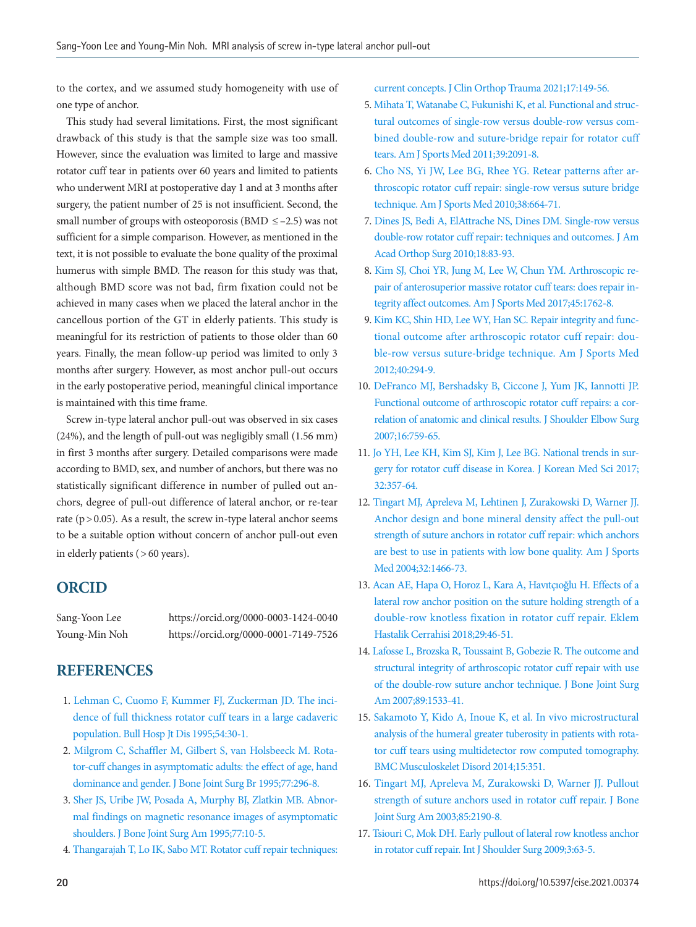to the cortex, and we assumed study homogeneity with use of one type of anchor.

This study had several limitations. First, the most significant drawback of this study is that the sample size was too small. However, since the evaluation was limited to large and massive rotator cuff tear in patients over 60 years and limited to patients who underwent MRI at postoperative day 1 and at 3 months after surgery, the patient number of 25 is not insufficient. Second, the small number of groups with osteoporosis (BMD  $\le$  -2.5) was not sufficient for a simple comparison. However, as mentioned in the text, it is not possible to evaluate the bone quality of the proximal humerus with simple BMD. The reason for this study was that, although BMD score was not bad, firm fixation could not be achieved in many cases when we placed the lateral anchor in the cancellous portion of the GT in elderly patients. This study is meaningful for its restriction of patients to those older than 60 years. Finally, the mean follow-up period was limited to only 3 months after surgery. However, as most anchor pull-out occurs in the early postoperative period, meaningful clinical importance is maintained with this time frame.

Screw in-type lateral anchor pull-out was observed in six cases (24%), and the length of pull-out was negligibly small (1.56 mm) in first 3 months after surgery. Detailed comparisons were made according to BMD, sex, and number of anchors, but there was no statistically significant difference in number of pulled out anchors, degree of pull-out difference of lateral anchor, or re-tear rate ( $p > 0.05$ ). As a result, the screw in-type lateral anchor seems to be a suitable option without concern of anchor pull-out even in elderly patients ( > 60 years).

## **ORCID**

Sang-Yoon Lee https://orcid.org/0000-0003-1424-0040 Young-Min Noh https://orcid.org/0000-0001-7149-7526

## <span id="page-5-2"></span>**REFERENCES**

- <span id="page-5-0"></span>1. [Lehman C, Cuomo F, Kummer FJ, Zuckerman JD. The inci](https://www.ncbi.nlm.nih.gov/pubmed/8541777)[dence of full thickness rotator cuff tears in a large cadaveric](https://www.ncbi.nlm.nih.gov/pubmed/8541777)  [population. Bull Hosp Jt Dis 1995;54:30-1.](https://www.ncbi.nlm.nih.gov/pubmed/8541777)
- 2. [Milgrom C, Schaffler M, Gilbert S, van Holsbeeck M. Rota](https://doi.org/10.1302/0301-620x.77b2.7706351)[tor-cuff changes in asymptomatic adults: the effect of age, hand](https://doi.org/10.1302/0301-620x.77b2.7706351)  [dominance and gender. J Bone Joint Surg Br 1995;77:296-8.](https://doi.org/10.1302/0301-620x.77b2.7706351)
- <span id="page-5-1"></span>3. [Sher JS, Uribe JW, Posada A, Murphy BJ, Zlatkin MB. Abnor](https://doi.org/10.2106/00004623-199501000-00002)[mal findings on magnetic resonance images of asymptomatic](https://doi.org/10.2106/00004623-199501000-00002)  [shoulders. J Bone Joint Surg Am 1995;77:10-5.](https://doi.org/10.2106/00004623-199501000-00002)
- 4. [Thangarajah T, Lo IK, Sabo MT. Rotator cuff repair techniques:](https://doi.org/10.1016/j.jcot.2021.03.006)

[current concepts. J Clin Orthop Trauma 2021;17:149-56.](https://doi.org/10.1016/j.jcot.2021.03.006)

- 5. [Mihata T, Watanabe C, Fukunishi K, et al. Functional and struc](https://doi.org/10.1177/0363546511415660)[tural outcomes of single-row versus double-row versus com](https://doi.org/10.1177/0363546511415660)[bined double-row and suture-bridge repair for rotator cuff](https://doi.org/10.1177/0363546511415660)  [tears. Am J Sports Med 2011;39:2091-8.](https://doi.org/10.1177/0363546511415660)
- <span id="page-5-11"></span>[6. Cho NS, Yi JW, Lee BG, Rhee YG. Retear patterns after ar](https://doi.org/10.1177/0363546509350081)[throscopic rotator cuff repair: single-row versus suture bridge](https://doi.org/10.1177/0363546509350081)  [technique. Am J Sports Med 2010;38:664-71.](https://doi.org/10.1177/0363546509350081)
- <span id="page-5-3"></span>[7. Dines JS, Bedi A, ElAttrache NS, Dines DM. Single-row versus](https://doi.org/10.5435/00124635-201002000-00003)  [double-row rotator cuff repair: techniques and outcomes. J Am](https://doi.org/10.5435/00124635-201002000-00003)  [Acad Orthop Surg 2010;18:83-93](https://doi.org/10.5435/00124635-201002000-00003).
- <span id="page-5-4"></span>8. Kim SJ, Choi YR, Jung M, Lee W, Chun YM. Arthroscopic repair of ante[rosuperior massive rotator cuff tears: does repair in](https://doi.org/10.1177/0363546517694028)[tegrity affect outcomes. Am J Sports Med 2017;45:1762-8.](https://doi.org/10.1177/0363546517694028)
- 9. [Kim KC, Shin HD, Lee WY, Han SC. Repair integrity and func](https://doi.org/10.1177/0363546511425657)[tional outcome after arthroscopic rotator cuff repair: dou](https://doi.org/10.1177/0363546511425657)[ble-row versus suture-bridge technique. Am J Sports Med](https://doi.org/10.1177/0363546511425657)  [2012;40:294-9.](https://doi.org/10.1177/0363546511425657)
- <span id="page-5-5"></span>10. DeF[ranco MJ, Bershadsky B, Ciccone J, Yum JK, Iannotti JP.](https://doi.org/10.1016/j.jse.2007.03.020)  [Functional outcome of arthroscopic rotator cuff repairs: a cor](https://doi.org/10.1016/j.jse.2007.03.020)[relation of anatomic and clinical results. J Shoulder Elbow Surg](https://doi.org/10.1016/j.jse.2007.03.020)  [2007;16:759-65.](https://doi.org/10.1016/j.jse.2007.03.020)
- <span id="page-5-6"></span>1[1. Jo YH, Lee KH, Kim SJ, Kim J, Lee BG. National trends in sur](https://doi.org/10.3346/jkms.2017.32.2.357)[gery for rotator cuff disease in Korea. J Korean Med Sci 2017;](https://doi.org/10.3346/jkms.2017.32.2.357) [32:357-64.](https://doi.org/10.3346/jkms.2017.32.2.357)
- <span id="page-5-8"></span>12. Tingart MJ, Aprele[va M, Lehtinen J, Zurakowski D, Warner JJ.](https://doi.org/10.1177/0363546503262644)  [Anchor design and bone mineral density affect the pull-out](https://doi.org/10.1177/0363546503262644)  [strength of suture anchors in rotator cuff repair: which anchors](https://doi.org/10.1177/0363546503262644)  [are best to use in patients with low bone quality. Am J](https://doi.org/10.1177/0363546503262644) Sports Med 2004;32:1466-73.
- <span id="page-5-10"></span><span id="page-5-9"></span>13. Acan AE, Hapa O, Horoz L, Ka[ra A, Havıtçıoğ](https://doi.org/10.5606/ehc.2018.57519)lu H. Effects of a lateral row anchor position on the suture holding strength of a double-row knotless fixation in rotator cuff repair. Eklem Hastalik Cerrahisi 2018;29:46-51.
- <span id="page-5-7"></span>14. Lafosse L, Br[ozska R, Toussaint B, Gobezie R. The outcome and](https://doi.org/10.2106/jbjs.f.00305)  [structural integrity of arthroscopic rotator cuff repair with use](https://doi.org/10.2106/jbjs.f.00305)  [of the double-row suture anchor technique. J Bone Joint Surg](https://doi.org/10.2106/jbjs.f.00305)  [Am 2007;89:1533-41.](https://doi.org/10.2106/jbjs.f.00305)
- <span id="page-5-13"></span>15. Sakamoto [Y, Kido A, Inoue K, et al. In vivo microstructural](https://doi.org/10.1186/1471-2474-15-351)  [analysis of the humeral greater tuberosity in patients with rota](https://doi.org/10.1186/1471-2474-15-351)[tor cuff tears using multidetector row computed tomography.](https://doi.org/10.1186/1471-2474-15-351)  [BMC Musculoskelet Disord 2014;15:351.](https://doi.org/10.1186/1471-2474-15-351)
- <span id="page-5-12"></span>16. Tingart MJ, Ap[releva M, Zurakowski D, Warner JJ. Pullout](https://doi.org/10.2106/00004623-200311000-00021)  [strength of suture anchors used in rotator cuff repair. J Bone](https://doi.org/10.2106/00004623-200311000-00021)  [Joint Surg Am 2003;85:2190-8.](https://doi.org/10.2106/00004623-200311000-00021)
- <span id="page-5-14"></span>17. [Tsiouri C, Mok DH. Early pullout of lateral row knotless anchor](https://doi.org/10.4103/0973-6042.59972)  [in rotator cuff repair. Int J Shoulder Surg 2009;3:63-5](https://doi.org/10.4103/0973-6042.59972).